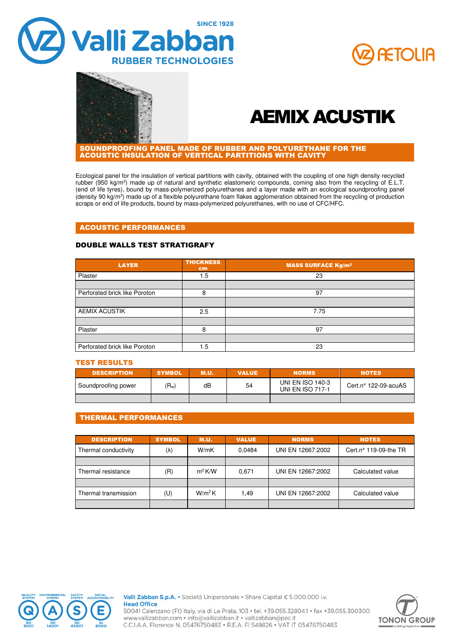





# AEMIX ACUSTIK

SOUNDPROOFING PANEL MADE OF RUBBER AND POLYURETHANE FOR THE ACOUSTIC INSULATION OF VERTICAL PARTITIONS WITH CAVITY

Ecological panel for the insulation of vertical partitions with cavity, obtained with the coupling of one high density recycled rubber (950 kg/m<sup>3</sup>) made up of natural and synthetic elastomeric compounds, coming also from the recycling of E.L.T. (end of life tyres), bound by mass-polymerized polyurethanes and a layer made with an ecological soundproofing panel (density 90 kg/m<sup>3</sup>) made up of a flexible polyurethane foam flakes agglomeration obtained from the recycling of production scraps or end of life products, bound by mass-polymerized polyurethanes, with no use of CFC/HFC.

#### ACOUSTIC PERFORMANCES

#### DOUBLE WALLS TEST STRATIGRAFY

| <b>LAYER</b>                  | <b>THICKNESS</b><br>cm <sub>2</sub> | <b>MASS SURFACE Kg/m<sup>2</sup></b> |
|-------------------------------|-------------------------------------|--------------------------------------|
| Plaster                       | 1.5                                 | 23                                   |
|                               |                                     |                                      |
| Perforated brick like Poroton | 8                                   | 97                                   |
|                               |                                     |                                      |
| <b>AEMIX ACUSTIK</b>          | 2.5                                 | 7.75                                 |
|                               |                                     |                                      |
| Plaster                       | 8                                   | 97                                   |
|                               |                                     |                                      |
| Perforated brick like Poroton | 1.5                                 | 23                                   |

#### TEST RESULTS

| <b>DESCRIPTION</b>  | <b>SYMBOL</b> | <b>M.U.</b> | <b>VALUE</b> | <b>NORMS</b>                                       | <b>NOTES</b>                  |
|---------------------|---------------|-------------|--------------|----------------------------------------------------|-------------------------------|
| Soundproofing power | $(R_w)$       | dB          | 54           | <b>UNI EN ISO 140-3</b><br><b>UNI EN ISO 717-1</b> | Cert.n $\degree$ 122-09-acuAS |
|                     |               |             |              |                                                    |                               |

# THERMAL PERFORMANCES

| <b>DESCRIPTION</b>   | <b>SYMBOL</b> | <b>M.U.</b> | <b>VALUE</b> | <b>NORMS</b>      | <b>NOTES</b>                   |
|----------------------|---------------|-------------|--------------|-------------------|--------------------------------|
| Thermal conductivity | $(\lambda)$   | W/mK        | 0.0484       | UNI EN 12667:2002 | Cert.n $\degree$ 119-09-the TR |
|                      |               |             |              |                   |                                |
| Thermal resistance   | (R)           | $m^2$ K/W   | 0.671        | UNI EN 12667:2002 | Calculated value               |
|                      |               |             |              |                   |                                |
| Thermal transmission | (U)           | $W/m^2K$    | 1.49         | UNI EN 12667:2002 | Calculated value               |
|                      |               |             |              |                   |                                |



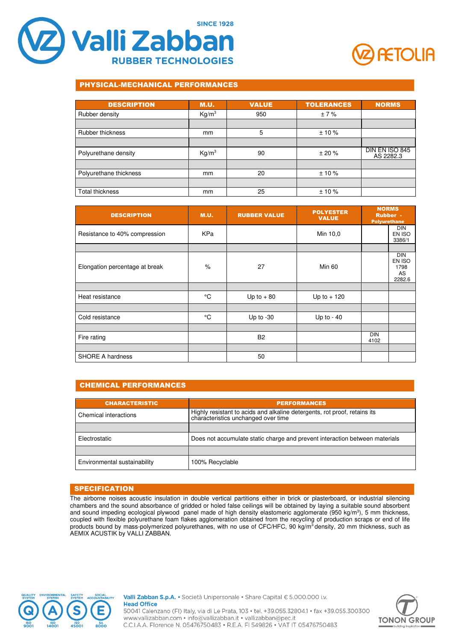



# PHYSICAL-MECHANICAL PERFORMANCES

| <b>DESCRIPTION</b>     | <b>M.U.</b>       | <b>VALUE</b> | <b>TOLERANCES</b> | <b>NORMS</b>                |
|------------------------|-------------------|--------------|-------------------|-----------------------------|
| Rubber density         | Kg/m <sup>3</sup> | 950          | ±7%               |                             |
|                        |                   |              |                   |                             |
| Rubber thickness       | mm                | 5            | ±10%              |                             |
|                        |                   |              |                   |                             |
| Polyurethane density   | Kg/m <sup>3</sup> | 90           | ± 20%             | DIN EN ISO 845<br>AS 2282.3 |
|                        |                   |              |                   |                             |
| Polyurethane thickness | mm                | 20           | $± 10 \%$         |                             |
|                        |                   |              |                   |                             |
| <b>Total thickness</b> | mm                | 25           | $± 10 \%$         |                             |

| <b>DESCRIPTION</b>             | <b>M.U.</b> | <b>RUBBER VALUE</b> | <b>POLYESTER</b><br><b>VALUE</b> | <b>NORMS</b>       | <b>Rubber -</b><br><b>Polyurethane</b>       |
|--------------------------------|-------------|---------------------|----------------------------------|--------------------|----------------------------------------------|
| Resistance to 40% compression  | KPa         |                     | Min 10,0                         |                    | <b>DIN</b><br>EN ISO<br>3386/1               |
|                                |             |                     |                                  |                    |                                              |
| Elongation percentage at break | $\%$        | 27                  | Min 60                           |                    | <b>DIN</b><br>EN ISO<br>1798<br>AS<br>2282.6 |
|                                |             |                     |                                  |                    |                                              |
| Heat resistance                | °C          | Up to $+80$         | Up to $+120$                     |                    |                                              |
|                                |             |                     |                                  |                    |                                              |
| Cold resistance                | °C          | Up to $-30$         | Up to $-40$                      |                    |                                              |
|                                |             |                     |                                  |                    |                                              |
| Fire rating                    |             | <b>B2</b>           |                                  | <b>DIN</b><br>4102 |                                              |
|                                |             |                     |                                  |                    |                                              |
| <b>SHORE A hardness</b>        |             | 50                  |                                  |                    |                                              |

# CHEMICAL PERFORMANCES

| <b>CHARACTERISTIC</b>        | <b>PERFORMANCES</b>                                                                                                |
|------------------------------|--------------------------------------------------------------------------------------------------------------------|
| Chemical interactions        | Highly resistant to acids and alkaline detergents, rot proof, retains its<br>  characteristics unchanged over time |
|                              |                                                                                                                    |
| Electrostatic                | Does not accumulate static charge and prevent interaction between materials                                        |
|                              |                                                                                                                    |
| Environmental sustainability | 100% Recyclable                                                                                                    |

# **SPECIFICATION**

The airborne noises acoustic insulation in double vertical partitions either in brick or plasterboard, or industrial silencing chambers and the sound absorbance of gridded or holed false ceilings will be obtained by laying a suitable sound absorbent and sound impeding ecological plywood panel made of high density elastomeric agglomerate (950 kg/m<sup>3</sup>), 5 mm thickness, coupled with flexible polyurethane foam flakes agglomeration obtained from the recycling of production scraps or end of life products bound by mass-polymerized polyurethanes, with no use of CFC/HFC, 90 kg/m<sup>3</sup>density, 20 mm thickness, such as AEMIX ACUSTIK by VALLI ZABBAN.



Valli Zabban S.p.A. • Società Unipersonale • Share Capital € 5.000.000 i.v. **Head Office** 50041 Calenzano (FI) Italy, via di Le Prata, 103 · tel. +39.055.32804.1 · fax +39.055.300300 www.vallizabban.com • info@vallizabban.it • vallizabban@pec.it C.C.I.A.A. Florence N. 05476750483 · R.E.A. FI 549826 · VAT IT 05476750483